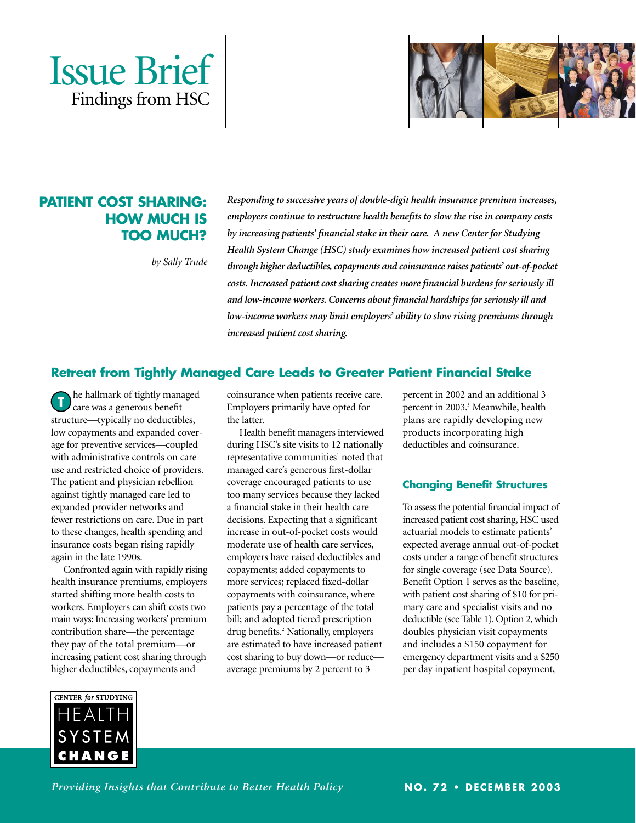



# **PATIENT COST SHARING: HOW MUCH IS TOO MUCH?**

*by Sally Trude* 

*Responding to successive years of double-digit health insurance premium increases, employers continue to restructure health benefits to slow the rise in company costs by increasing patients' financial stake in their care. A new Center for Studying Health System Change (HSC) study examines how increased patient cost sharing through higher deductibles, copayments and coinsurance raises patients' out-of-pocket costs. Increased patient cost sharing creates more financial burdens for seriously ill and low-income workers. Concerns about financial hardships for seriously ill and low-income workers may limit employers' ability to slow rising premiums through increased patient cost sharing.*

## **Retreat from Tightly Managed Care Leads to Greater Patient Financial Stake**

he hallmark of tightly managed care was a generous benefit structure—typically no deductibles, low copayments and expanded coverage for preventive services—coupled with administrative controls on care use and restricted choice of providers. The patient and physician rebellion against tightly managed care led to expanded provider networks and fewer restrictions on care. Due in part to these changes, health spending and insurance costs began rising rapidly again in the late 1990s. **T**

Confronted again with rapidly rising health insurance premiums, employers started shifting more health costs to workers. Employers can shift costs two main ways: Increasing workers'premium contribution share—the percentage they pay of the total premium—or increasing patient cost sharing through higher deductibles, copayments and

coinsurance when patients receive care. Employers primarily have opted for the latter.

Health benefit managers interviewed during HSC's site visits to 12 nationally representative communities<sup>1</sup> noted that managed care's generous first-dollar coverage encouraged patients to use too many services because they lacked a financial stake in their health care decisions. Expecting that a significant increase in out-of-pocket costs would moderate use of health care services, employers have raised deductibles and copayments; added copayments to more services; replaced fixed-dollar copayments with coinsurance, where patients pay a percentage of the total bill; and adopted tiered prescription drug benefits.<sup>2</sup> Nationally, employers are estimated to have increased patient cost sharing to buy down—or reduceaverage premiums by 2 percent to 3

percent in 2002 and an additional 3 percent in 2003.<sup>3</sup> Meanwhile, health plans are rapidly developing new products incorporating high deductibles and coinsurance.

## **Changing Benefit Structures**

To assess the potential financial impact of increased patient cost sharing, HSC used actuarial models to estimate patients' expected average annual out-of-pocket costs under a range of benefit structures for single coverage (see Data Source). Benefit Option 1 serves as the baseline, with patient cost sharing of \$10 for primary care and specialist visits and no deductible (see Table 1). Option 2, which doubles physician visit copayments and includes a \$150 copayment for emergency department visits and a \$250 per day inpatient hospital copayment,



*Providing Insights that Contribute to Better Health Policy*

**NO. 72 • DECEMBER 2003**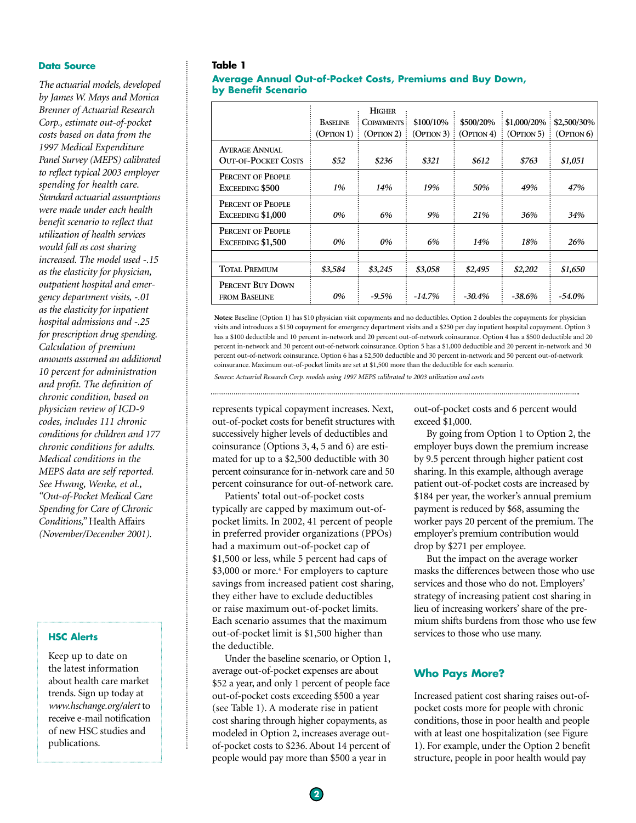#### **Data Source**

*The actuarial models, developed by James W. Mays and Monica Brenner of Actuarial Research Corp., estimate out-of-pocket costs based on data from the 1997 Medical Expenditure Panel Survey (MEPS) calibrated to reflect typical 2003 employer spending for health care. Standard actuarial assumptions were made under each health benefit scenario to reflect that utilization of health services would fall as cost sharing increased. The model used -.15 as the elasticity for physician, outpatient hospital and emergency department visits, -.01 as the elasticity for inpatient hospital admissions and -.25 for prescription drug spending. Calculation of premium amounts assumed an additional 10 percent for administration and profit. The definition of chronic condition, based on physician review of ICD-9 codes, includes 111 chronic conditions for children and 177 chronic conditions for adults. Medical conditions in the MEPS data are self reported. See Hwang, Wenke, et al., "Out-of-Pocket Medical Care Spending for Care of Chronic Conditions,"* Health Affairs *(November/December 2001).*

#### **HSC Alerts**

Keep up to date on the latest information about health care market trends. Sign up today at *www.hschange.org/alert* to receive e-mail notification of new HSC studies and publications.

#### **Table 1**

#### **Average Annual Out-of-Pocket Costs, Premiums and Buy Down, by Benefit Scenario**

|                                                     | <b>HIGHER</b>   |                    |            |            |               |             |  |  |  |
|-----------------------------------------------------|-----------------|--------------------|------------|------------|---------------|-------------|--|--|--|
|                                                     | <b>BASELINE</b> | <b>COPAYMENTS:</b> | \$100/10%  | \$500/20%  | $$1,000/20\%$ | \$2,500/30% |  |  |  |
|                                                     | (OPTION 1)      | (OPTION 2)         | (OPTION 3) | (OPTION 4) | (OPTION 5)    | (OPTION 6)  |  |  |  |
| <b>AVERAGE ANNUAL</b><br><b>OUT-OF-POCKET COSTS</b> | \$52            | \$236              | \$321      | \$612      | \$763         | \$1,051     |  |  |  |
| PERCENT OF PEOPLE<br>EXCEEDING \$500                | 1%              | 14%                | 19%        | 50%        | 49%           | 47%         |  |  |  |
| PERCENT OF PEOPLE<br>EXCEEDING \$1,000              | 0%              | 6%                 | 9%         | 21%        | 36%           | 34%         |  |  |  |
| PERCENT OF PEOPLE<br>EXCEEDING \$1,500              | 0%              | 0%                 | 6%         | 14%        | 18%           | 26%         |  |  |  |
|                                                     |                 |                    |            |            |               |             |  |  |  |
| TOTAL PREMIUM                                       | \$3,584         | \$3,245            | \$3,058    | \$2,495    | \$2,202       | \$1,650     |  |  |  |
| PERCENT BUY DOWN<br>FROM BASELINE                   | 0%              | $-9.5\%$           | $-14.7\%$  | $-30.4\%$  | $-38.6\%$     | -54.0%      |  |  |  |

**Notes:** Baseline (Option 1) has \$10 physician visit copayments and no deductibles. Option 2 doubles the copayments for physician visits and introduces a \$150 copayment for emergency department visits and a \$250 per day inpatient hospital copayment. Option 3 has a \$100 deductible and 10 percent in-network and 20 percent out-of-network coinsurance. Option 4 has a \$500 deductible and 20 percent in-network and 30 percent out-of-network coinsurance. Option 5 has a \$1,000 deductible and 20 percent in-network and 30 percent out-of-network coinsurance. Option 6 has a \$2,500 deductible and 30 percent in-network and 50 percent out-of-network coinsurance. Maximum out-of-pocket limits are set at \$1,500 more than the deductible for each scenario.

*Source: Actuarial Research Corp. models using 1997 MEPS calibrated to 2003 utilization and costs*

represents typical copayment increases. Next, out-of-pocket costs for benefit structures with successively higher levels of deductibles and coinsurance (Options 3, 4, 5 and 6) are estimated for up to a \$2,500 deductible with 30 percent coinsurance for in-network care and 50 percent coinsurance for out-of-network care.

Patients' total out-of-pocket costs typically are capped by maximum out-ofpocket limits. In 2002, 41 percent of people in preferred provider organizations (PPOs) had a maximum out-of-pocket cap of \$1,500 or less, while 5 percent had caps of \$3,000 or more.<sup>4</sup> For employers to capture savings from increased patient cost sharing, they either have to exclude deductibles or raise maximum out-of-pocket limits. Each scenario assumes that the maximum out-of-pocket limit is \$1,500 higher than the deductible.

Under the baseline scenario, or Option 1, average out-of-pocket expenses are about \$52 a year, and only 1 percent of people face out-of-pocket costs exceeding \$500 a year (see Table 1). A moderate rise in patient cost sharing through higher copayments, as modeled in Option 2, increases average outof-pocket costs to \$236. About 14 percent of people would pay more than \$500 a year in

out-of-pocket costs and 6 percent would exceed \$1,000.

By going from Option 1 to Option 2, the employer buys down the premium increase by 9.5 percent through higher patient cost sharing. In this example, although average patient out-of-pocket costs are increased by \$184 per year, the worker's annual premium payment is reduced by \$68, assuming the worker pays 20 percent of the premium. The employer's premium contribution would drop by \$271 per employee.

But the impact on the average worker masks the differences between those who use services and those who do not. Employers' strategy of increasing patient cost sharing in lieu of increasing workers' share of the premium shifts burdens from those who use few services to those who use many.

### **Who Pays More?**

Increased patient cost sharing raises out-ofpocket costs more for people with chronic conditions, those in poor health and people with at least one hospitalization (see Figure 1). For example, under the Option 2 benefit structure, people in poor health would pay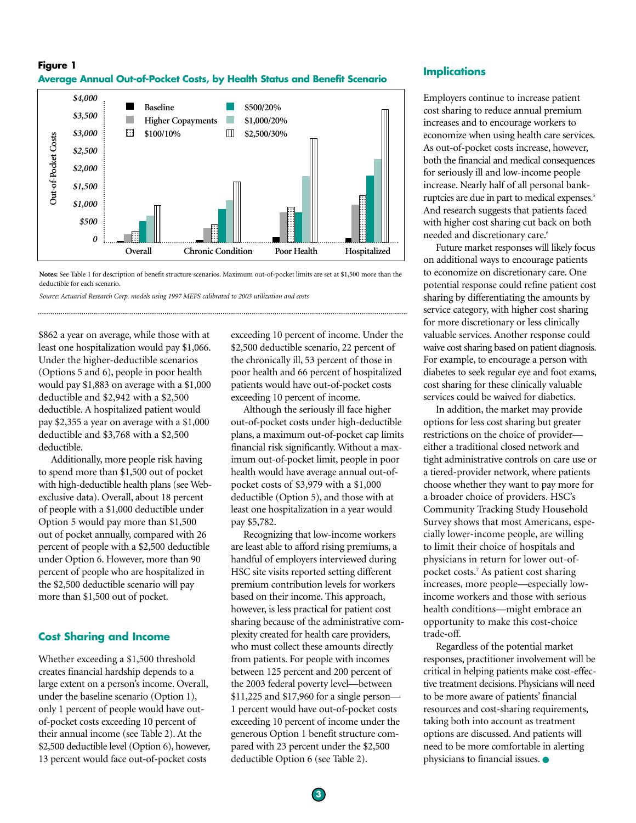## **Figure 1 Average Annual Out-of-Pocket Costs, by Health Status and Benefit Scenario**



**Notes:** See Table 1 for description of benefit structure scenarios. Maximum out-of-pocket limits are set at \$1,500 more than the deductible for each scenario.

*Source: Actuarial Research Corp. models using 1997 MEPS calibrated to 2003 utilization and costs*

\$862 a year on average, while those with at least one hospitalization would pay \$1,066. Under the higher-deductible scenarios (Options 5 and 6), people in poor health would pay \$1,883 on average with a \$1,000 deductible and \$2,942 with a \$2,500 deductible. A hospitalized patient would pay \$2,355 a year on average with a \$1,000 deductible and \$3,768 with a \$2,500 deductible.

Additionally, more people risk having to spend more than \$1,500 out of pocket with high-deductible health plans (see Webexclusive data). Overall, about 18 percent of people with a \$1,000 deductible under Option 5 would pay more than \$1,500 out of pocket annually, compared with 26 percent of people with a \$2,500 deductible under Option 6. However, more than 90 percent of people who are hospitalized in the \$2,500 deductible scenario will pay more than \$1,500 out of pocket.

## **Cost Sharing and Income**

Whether exceeding a \$1,500 threshold creates financial hardship depends to a large extent on a person's income. Overall, under the baseline scenario (Option 1), only 1 percent of people would have outof-pocket costs exceeding 10 percent of their annual income (see Table 2). At the \$2,500 deductible level (Option 6), however, 13 percent would face out-of-pocket costs

exceeding 10 percent of income. Under the \$2,500 deductible scenario, 22 percent of the chronically ill, 53 percent of those in poor health and 66 percent of hospitalized patients would have out-of-pocket costs exceeding 10 percent of income.

Although the seriously ill face higher out-of-pocket costs under high-deductible plans, a maximum out-of-pocket cap limits financial risk significantly. Without a maximum out-of-pocket limit, people in poor health would have average annual out-ofpocket costs of \$3,979 with a \$1,000 deductible (Option 5), and those with at least one hospitalization in a year would pay \$5,782.

Recognizing that low-income workers are least able to afford rising premiums, a handful of employers interviewed during HSC site visits reported setting different premium contribution levels for workers based on their income. This approach, however, is less practical for patient cost sharing because of the administrative complexity created for health care providers, who must collect these amounts directly from patients. For people with incomes between 125 percent and 200 percent of the 2003 federal poverty level—between \$11,225 and \$17,960 for a single person— 1 percent would have out-of-pocket costs exceeding 10 percent of income under the generous Option 1 benefit structure compared with 23 percent under the \$2,500 deductible Option 6 (see Table 2).

### **Implications**

Employers continue to increase patient cost sharing to reduce annual premium increases and to encourage workers to economize when using health care services. As out-of-pocket costs increase, however, both the financial and medical consequences for seriously ill and low-income people increase. Nearly half of all personal bankruptcies are due in part to medical expenses.<sup>5</sup> And research suggests that patients faced with higher cost sharing cut back on both needed and discretionary care.<sup>6</sup>

Future market responses will likely focus on additional ways to encourage patients to economize on discretionary care. One potential response could refine patient cost sharing by differentiating the amounts by service category, with higher cost sharing for more discretionary or less clinically valuable services. Another response could waive cost sharing based on patient diagnosis. For example, to encourage a person with diabetes to seek regular eye and foot exams, cost sharing for these clinically valuable services could be waived for diabetics.

In addition, the market may provide options for less cost sharing but greater restrictions on the choice of provider either a traditional closed network and tight administrative controls on care use or a tiered-provider network, where patients choose whether they want to pay more for a broader choice of providers. HSC's Community Tracking Study Household Survey shows that most Americans, especially lower-income people, are willing to limit their choice of hospitals and physicians in return for lower out-ofpocket costs.7 As patient cost sharing increases, more people—especially lowincome workers and those with serious health conditions—might embrace an opportunity to make this cost-choice trade-off.

Regardless of the potential market responses, practitioner involvement will be critical in helping patients make cost-effective treatment decisions. Physicians will need to be more aware of patients' financial resources and cost-sharing requirements, taking both into account as treatment options are discussed. And patients will need to be more comfortable in alerting physicians to financial issues. ●